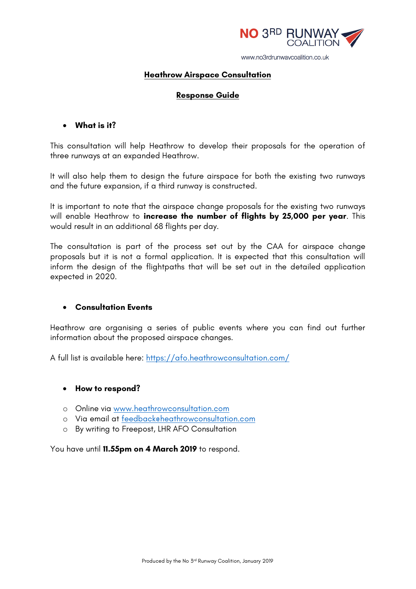

#### **Heathrow Airspace Consultation**

#### **Response Guide**

# • **What is it?**

This consultation will help Heathrow to develop their proposals for the operation of three runways at an expanded Heathrow.

It will also help them to design the future airspace for both the existing two runways and the future expansion, if a third runway is constructed.

It is important to note that the airspace change proposals for the existing two runways will enable Heathrow to **increase the number of flights by 25,000 per year**. This would result in an additional 68 flights per day.

The consultation is part of the process set out by the CAA for airspace change proposals but it is not a formal application. It is expected that this consultation will inform the design of the flightpaths that will be set out in the detailed application expected in 2020.

#### • **Consultation Events**

Heathrow are organising a series of public events where you can find out further information about the proposed airspace changes.

A full list is available here: https://afo.heathrowconsultation.com/

#### • **How to respond?**

- o Online via www.heathrowconsultation.com
- o Via email at feedback@heathrowconsultation.com
- o By writing to Freepost, LHR AFO Consultation

You have until **11.55pm on 4 March 2019** to respond.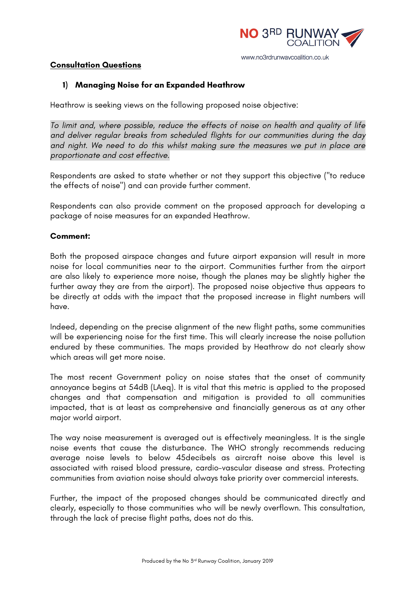

#### **Consultation Questions**

### **1) Managing Noise for an Expanded Heathrow**

Heathrow is seeking views on the following proposed noise objective:

*To limit and, where possible, reduce the effects of noise on health and quality of life and deliver regular breaks from scheduled flights for our communities during the day and night. We need to do this whilst making sure the measures we put in place are proportionate and cost effective.*

Respondents are asked to state whether or not they support this objective ("to reduce the effects of noise") and can provide further comment.

Respondents can also provide comment on the proposed approach for developing a package of noise measures for an expanded Heathrow.

#### **Comment:**

Both the proposed airspace changes and future airport expansion will result in more noise for local communities near to the airport. Communities further from the airport are also likely to experience more noise, though the planes may be slightly higher the further away they are from the airport). The proposed noise objective thus appears to be directly at odds with the impact that the proposed increase in flight numbers will have.

Indeed, depending on the precise alignment of the new flight paths, some communities will be experiencing noise for the first time. This will clearly increase the noise pollution endured by these communities. The maps provided by Heathrow do not clearly show which areas will get more noise.

The most recent Government policy on noise states that the onset of community annoyance begins at 54dB (LAeq). It is vital that this metric is applied to the proposed changes and that compensation and mitigation is provided to all communities impacted, that is at least as comprehensive and financially generous as at any other major world airport.

The way noise measurement is averaged out is effectively meaningless. It is the single noise events that cause the disturbance. The WHO strongly recommends reducing average noise levels to below 45decibels as aircraft noise above this level is associated with raised blood pressure, cardio-vascular disease and stress. Protecting communities from aviation noise should always take priority over commercial interests.

Further, the impact of the proposed changes should be communicated directly and clearly, especially to those communities who will be newly overflown. This consultation, through the lack of precise flight paths, does not do this.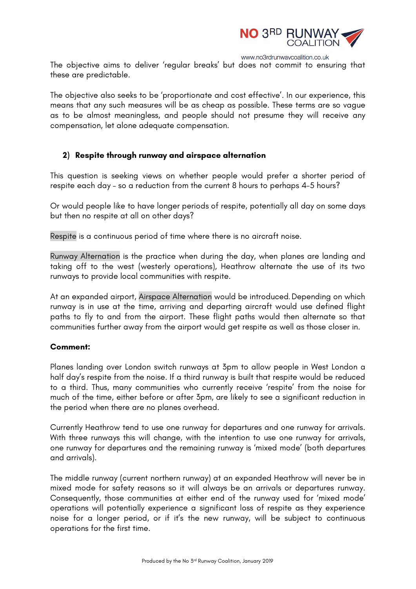

The objective aims to deliver 'regular breaks' but does not commit to ensuring that these are predictable.

The objective also seeks to be 'proportionate and cost effective'. In our experience, this means that any such measures will be as cheap as possible. These terms are so vague as to be almost meaningless, and people should not presume they will receive any compensation, let alone adequate compensation.

## **2) Respite through runway and airspace alternation**

This question is seeking views on whether people would prefer a shorter period of respite each day – so a reduction from the current 8 hours to perhaps 4-5 hours?

Or would people like to have longer periods of respite, potentially all day on some days but then no respite at all on other days?

Respite is a continuous period of time where there is no aircraft noise.

Runway Alternation is the practice when during the day, when planes are landing and taking off to the west (westerly operations), Heathrow alternate the use of its two runways to provide local communities with respite.

At an expanded airport, Airspace Alternation would be introduced. Depending on which runway is in use at the time, arriving and departing aircraft would use defined flight paths to fly to and from the airport. These flight paths would then alternate so that communities further away from the airport would get respite as well as those closer in.

#### **Comment:**

Planes landing over London switch runways at 3pm to allow people in West London a half day's respite from the noise. If a third runway is built that respite would be reduced to a third. Thus, many communities who currently receive 'respite' from the noise for much of the time, either before or after 3pm, are likely to see a significant reduction in the period when there are no planes overhead.

Currently Heathrow tend to use one runway for departures and one runway for arrivals. With three runways this will change, with the intention to use one runway for arrivals, one runway for departures and the remaining runway is 'mixed mode' (both departures and arrivals).

The middle runway (current northern runway) at an expanded Heathrow will never be in mixed mode for safety reasons so it will always be an arrivals or departures runway. Consequently, those communities at either end of the runway used for 'mixed mode' operations will potentially experience a significant loss of respite as they experience noise for a longer period, or if it's the new runway, will be subject to continuous operations for the first time.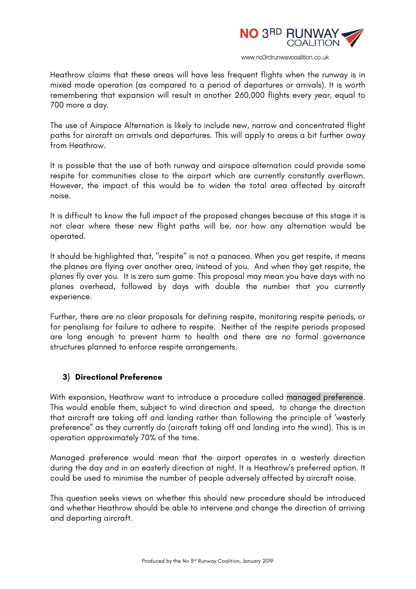

Heathrow claims that these areas will have less frequent flights when the runway is in mixed mode operation (as compared to a period of departures or arrivals). It is worth remembering that expansion will result in another 260,000 flights every year, equal to 700 more a day.

The use of Airspace Alternation is likely to include new, narrow and concentrated flight paths for aircraft on arrivals and departures. This will apply to areas a bit further away from Heathrow.

It is possible that the use of both runway and airspace alternation could provide some respite for communities close to the airport which are currently constantly overflown. However, the impact of this would be to widen the total area affected by aircraft noise.

It is difficult to know the full impact of the proposed changes because at this stage it is not clear where these new flight paths will be, nor how any alternation would be operated.

It should be highlighted that, "respite" is not a panacea. When you get respite, it means the planes are flying over another area, instead of you. And when they get respite, the planes fly over you. It is zero sum game. This proposal may mean you have days with no planes overhead, followed by days with double the number that you currently experience.

Further, there are no clear proposals for defining respite, monitoring respite periods, or for penalising for failure to adhere to respite. Neither of the respite periods proposed are long enough to prevent harm to health and there are no formal governance structures planned to enforce respite arrangements.

## **3) Directional Preference**

With expansion, Heathrow want to introduce a procedure called managed preference. This would enable them, subject to wind direction and speed, to change the direction that aircraft are taking off and landing rather than following the principle of 'westerly preference" as they currently do (aircraft taking off and landing into the wind). This is in operation approximately 70% of the time.

Managed preference would mean that the airport operates in a westerly direction during the day and in an easterly direction at night. It is Heathrow's preferred option. It could be used to minimise the number of people adversely affected by aircraft noise.

This question seeks views on whether this should new procedure should be introduced and whether Heathrow should be able to intervene and change the direction of arriving and departing aircraft.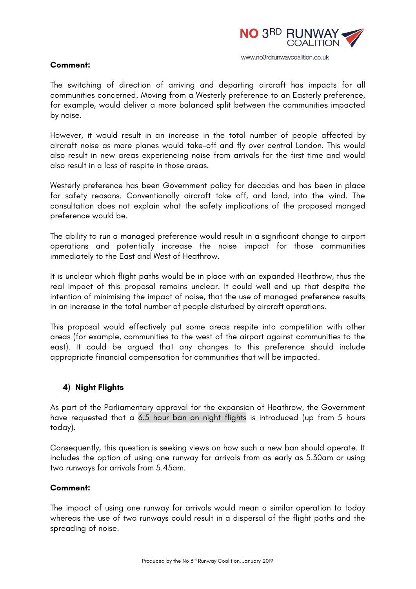

#### **Comment:**

The switching of direction of arriving and departing aircraft has impacts for all communities concerned. Moving from a Westerly preference to an Easterly preference, for example, would deliver a more balanced split between the communities impacted by noise.

However, it would result in an increase in the total number of people affected by aircraft noise as more planes would take-off and fly over central London. This would also result in new areas experiencing noise from arrivals for the first time and would also result in a loss of respite in those areas.

Westerly preference has been Government policy for decades and has been in place for safety reasons. Conventionally aircraft take off, and land, into the wind. The consultation does not explain what the safety implications of the proposed manged preference would be.

The ability to run a managed preference would result in a significant change to airport operations and potentially increase the noise impact for those communities immediately to the East and West of Heathrow.

It is unclear which flight paths would be in place with an expanded Heathrow, thus the real impact of this proposal remains unclear. It could well end up that despite the intention of minimising the impact of noise, that the use of managed preference results in an increase in the total number of people disturbed by aircraft operations.

This proposal would effectively put some areas respite into competition with other areas (for example, communities to the west of the airport against communities to the east). It could be argued that any changes to this preference should include appropriate financial compensation for communities that will be impacted.

## **4) Night Flights**

As part of the Parliamentary approval for the expansion of Heathrow, the Government have requested that a 6.5 hour ban on night flights is introduced (up from 5 hours today).

Consequently, this question is seeking views on how such a new ban should operate. It includes the option of using one runway for arrivals from as early as 5.30am or using two runways for arrivals from 5.45am.

## **Comment:**

The impact of using one runway for arrivals would mean a similar operation to today whereas the use of two runways could result in a dispersal of the flight paths and the spreading of noise.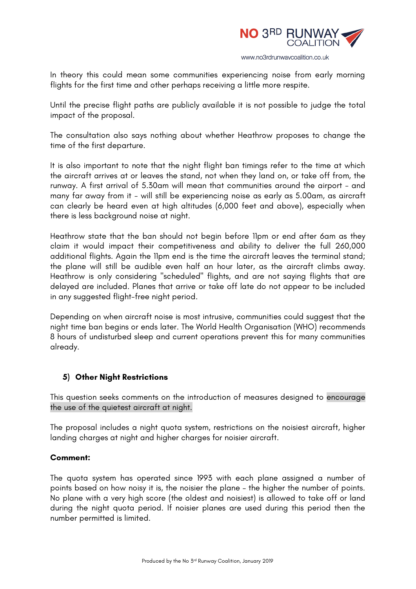

In theory this could mean some communities experiencing noise from early morning flights for the first time and other perhaps receiving a little more respite.

Until the precise flight paths are publicly available it is not possible to judge the total impact of the proposal.

The consultation also says nothing about whether Heathrow proposes to change the time of the first departure.

It is also important to note that the night flight ban timings refer to the time at which the aircraft arrives at or leaves the stand, not when they land on, or take off from, the runway. A first arrival of 5.30am will mean that communities around the airport - and many far away from it - will still be experiencing noise as early as 5.00am, as aircraft can clearly be heard even at high altitudes (6,000 feet and above), especially when there is less background noise at night.

Heathrow state that the ban should not begin before 11pm or end after 6am as they claim it would impact their competitiveness and ability to deliver the full 260,000 additional flights. Again the 11pm end is the time the aircraft leaves the terminal stand; the plane will still be audible even half an hour later, as the aircraft climbs away. Heathrow is only considering "scheduled" flights, and are not saying flights that are delayed are included. Planes that arrive or take off late do not appear to be included in any suggested flight-free night period.

Depending on when aircraft noise is most intrusive, communities could suggest that the night time ban begins or ends later. The World Health Organisation (WHO) recommends 8 hours of undisturbed sleep and current operations prevent this for many communities already.

# **5) Other Night Restrictions**

This question seeks comments on the introduction of measures designed to encourage the use of the quietest aircraft at night.

The proposal includes a night quota system, restrictions on the noisiest aircraft, higher landing charges at night and higher charges for noisier aircraft.

## **Comment:**

The quota system has operated since 1993 with each plane assigned a number of points based on how noisy it is, the noisier the plane – the higher the number of points. No plane with a very high score (the oldest and noisiest) is allowed to take off or land during the night quota period. If noisier planes are used during this period then the number permitted is limited.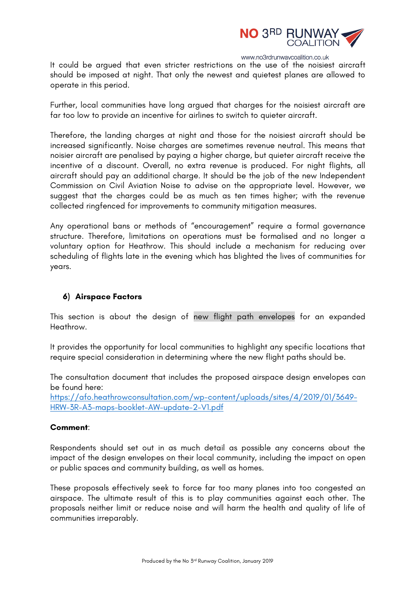

It could be argued that even stricter restrictions on the use of the noisiest aircraft should be imposed at night. That only the newest and quietest planes are allowed to operate in this period.

Further, local communities have long argued that charges for the noisiest aircraft are far too low to provide an incentive for airlines to switch to quieter aircraft.

Therefore, the landing charges at night and those for the noisiest aircraft should be increased significantly. Noise charges are sometimes revenue neutral. This means that noisier aircraft are penalised by paying a higher charge, but quieter aircraft receive the incentive of a discount. Overall, no extra revenue is produced. For night flights, all aircraft should pay an additional charge. It should be the job of the new Independent Commission on Civil Aviation Noise to advise on the appropriate level. However, we suggest that the charges could be as much as ten times higher; with the revenue collected ringfenced for improvements to community mitigation measures.

Any operational bans or methods of "encouragement" require a formal governance structure. Therefore, limitations on operations must be formalised and no longer a voluntary option for Heathrow. This should include a mechanism for reducing over scheduling of flights late in the evening which has blighted the lives of communities for years.

## **6) Airspace Factors**

This section is about the design of new flight path envelopes for an expanded Heathrow.

It provides the opportunity for local communities to highlight any specific locations that require special consideration in determining where the new flight paths should be.

The consultation document that includes the proposed airspace design envelopes can be found here:

https://afo.heathrowconsultation.com/wp-content/uploads/sites/4/2019/01/3649- HRW-3R-A3-maps-booklet-AW-update-2-V1.pdf

#### **Comment**:

Respondents should set out in as much detail as possible any concerns about the impact of the design envelopes on their local community, including the impact on open or public spaces and community building, as well as homes.

These proposals effectively seek to force far too many planes into too congested an airspace. The ultimate result of this is to play communities against each other. The proposals neither limit or reduce noise and will harm the health and quality of life of communities irreparably.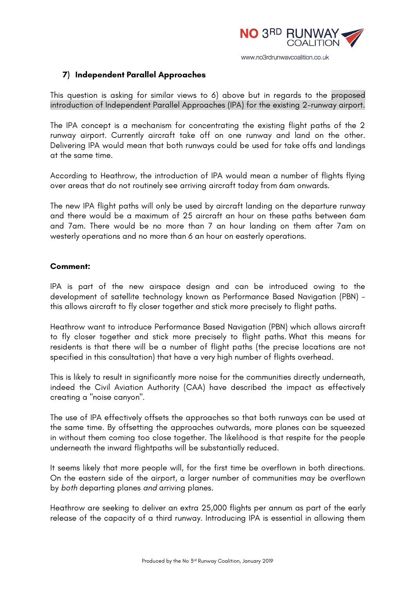

### **7) Independent Parallel Approaches**

This question is asking for similar views to 6) above but in regards to the proposed introduction of Independent Parallel Approaches (IPA) for the existing 2-runway airport.

The IPA concept is a mechanism for concentrating the existing flight paths of the 2 runway airport. Currently aircraft take off on one runway and land on the other. Delivering IPA would mean that both runways could be used for take offs and landings at the same time.

According to Heathrow, the introduction of IPA would mean a number of flights flying over areas that do not routinely see arriving aircraft today from 6am onwards.

The new IPA flight paths will only be used by aircraft landing on the departure runway and there would be a maximum of 25 aircraft an hour on these paths between 6am and 7am. There would be no more than 7 an hour landing on them after 7am on westerly operations and no more than 6 an hour on easterly operations.

## **Comment:**

IPA is part of the new airspace design and can be introduced owing to the development of satellite technology known as Performance Based Navigation (PBN) this allows aircraft to fly closer together and stick more precisely to flight paths.

Heathrow want to introduce Performance Based Navigation (PBN) which allows aircraft to fly closer together and stick more precisely to flight paths. What this means for residents is that there will be a number of flight paths (the precise locations are not specified in this consultation) that have a very high number of flights overhead.

This is likely to result in significantly more noise for the communities directly underneath, indeed the Civil Aviation Authority (CAA) have described the impact as effectively creating a "noise canyon".

The use of IPA effectively offsets the approaches so that both runways can be used at the same time. By offsetting the approaches outwards, more planes can be squeezed in without them coming too close together. The likelihood is that respite for the people underneath the inward flightpaths will be substantially reduced.

It seems likely that more people will, for the first time be overflown in both directions. On the eastern side of the airport, a larger number of communities may be overflown by *both* departing planes *and* arriving planes.

Heathrow are seeking to deliver an extra 25,000 flights per annum as part of the early release of the capacity of a third runway. Introducing IPA is essential in allowing them